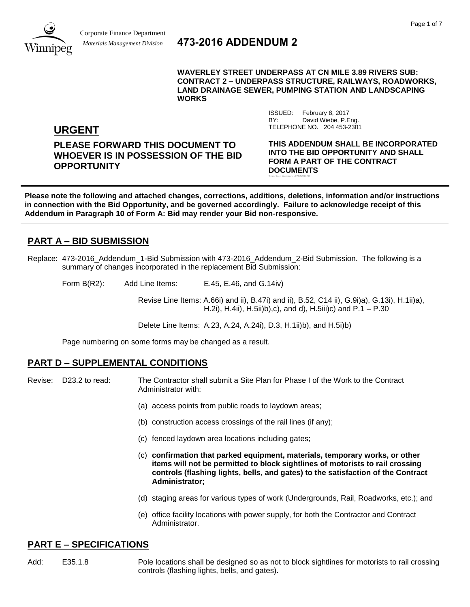

# *Materials Management Division* **473-2016 ADDENDUM 2**

**WAVERLEY STREET UNDERPASS AT CN MILE 3.89 RIVERS SUB: CONTRACT 2 – UNDERPASS STRUCTURE, RAILWAYS, ROADWORKS, LAND DRAINAGE SEWER, PUMPING STATION AND LANDSCAPING WORKS**

> ISSUED: February 8, 2017 BY: David Wiebe, P.Eng.

TELEPHONE NO. 204 453-2301

**URGENT**

**PLEASE FORWARD THIS DOCUMENT TO WHOEVER IS IN POSSESSION OF THE BID OPPORTUNITY**

**THIS ADDENDUM SHALL BE INCORPORATED INTO THE BID OPPORTUNITY AND SHALL FORM A PART OF THE CONTRACT DOCUMENTS** Template Version: A20160708

**Please note the following and attached changes, corrections, additions, deletions, information and/or instructions in connection with the Bid Opportunity, and be governed accordingly. Failure to acknowledge receipt of this Addendum in Paragraph 10 of Form A: Bid may render your Bid non-responsive.**

# **PART A – BID SUBMISSION**

Replace: 473-2016 Addendum 1-Bid Submission with 473-2016 Addendum 2-Bid Submission. The following is a summary of changes incorporated in the replacement Bid Submission:

Form B(R2): Add Line Items: E.45, E.46, and G.14iv)

Revise Line Items: A.66i) and ii), B.47i) and ii), B.52, C14 ii), G.9i)a), G.13i), H.1ii)a), H.2i), H.4ii), H.5ii)b),c), and d), H.5iii)c) and P.1 – P.30

Delete Line Items: A.23, A.24, A.24i), D.3, H.1ii)b), and H.5i)b)

Page numbering on some forms may be changed as a result.

### **PART D – SUPPLEMENTAL CONDITIONS**

Revise: D23.2 to read: The Contractor shall submit a Site Plan for Phase I of the Work to the Contract Administrator with:

- (a) access points from public roads to laydown areas;
- (b) construction access crossings of the rail lines (if any);
- (c) fenced laydown area locations including gates;
- (c) **confirmation that parked equipment, materials, temporary works, or other items will not be permitted to block sightlines of motorists to rail crossing controls (flashing lights, bells, and gates) to the satisfaction of the Contract Administrator;**
- (d) staging areas for various types of work (Undergrounds, Rail, Roadworks, etc.); and
- (e) office facility locations with power supply, for both the Contractor and Contract Administrator.

### **PART E – SPECIFICATIONS**

Add: E35.1.8 Pole locations shall be designed so as not to block sightlines for motorists to rail crossing controls (flashing lights, bells, and gates).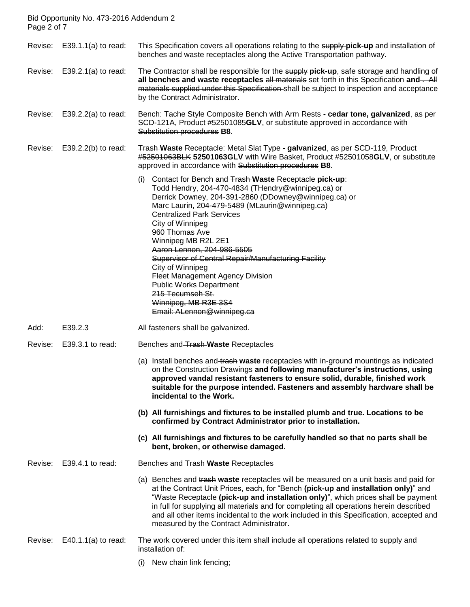Bid Opportunity No. 473-2016 Addendum 2 Page 2 of 7

Revise: E39.1.1(a) to read: This Specification covers all operations relating to the supply **pick-up** and installation of benches and waste receptacles along the Active Transportation pathway.

Revise: E39.2.1(a) to read: The Contractor shall be responsible for the supply **pick-up**, safe storage and handling of all benches and waste receptacles all materials set forth in this Specification and ... All materials supplied under this Specification shall be subject to inspection and acceptance by the Contract Administrator.

Revise: E39.2.2(a) to read: Bench: Tache Style Composite Bench with Arm Rests **- cedar tone, galvanized**, as per SCD-121A, Product #52501085**GLV**, or substitute approved in accordance with Substitution procedures **B8**.

Revise: E39.2.2(b) to read: Trash **Waste** Receptacle: Metal Slat Type **- galvanized**, as per SCD-119, Product #52501063BLK **52501063GLV** with Wire Basket, Product #52501058**GLV**, or substitute approved in accordance with Substitution procedures **B8**.

- (i) Contact for Bench and Trash **Waste** Receptacle **pick-up**: Todd Hendry, 204-470-4834 (THendry@winnipeg.ca) or Derrick Downey, 204-391-2860 (DDowney@winnipeg.ca) or Marc Laurin, 204-479-5489 (MLaurin@winnipeg.ca) Centralized Park Services City of Winnipeg 960 Thomas Ave Winnipeg MB R2L 2E1 Aaron Lennon, 204-986-5505 Supervisor of Central Repair/Manufacturing Facility City of Winnipeg Fleet Management Agency Division Public Works Department 215 Tecumseh St. Winnipeg, MB R3E 3S4 Email: ALennon@winnipeg.ca
- Add: E39.2.3 All fasteners shall be galvanized.
- Revise: E39.3.1 to read: Benches and Trash **Waste** Receptacles
	- (a) Install benches and trash **waste** receptacles with in-ground mountings as indicated on the Construction Drawings **and following manufacturer's instructions, using approved vandal resistant fasteners to ensure solid, durable, finished work suitable for the purpose intended. Fasteners and assembly hardware shall be incidental to the Work.**
	- **(b) All furnishings and fixtures to be installed plumb and true. Locations to be confirmed by Contract Administrator prior to installation.**
	- **(c) All furnishings and fixtures to be carefully handled so that no parts shall be bent, broken, or otherwise damaged.**

Revise: E39.4.1 to read: Benches and Trash **Waste** Receptacles

(a) Benches and trash **waste** receptacles will be measured on a unit basis and paid for at the Contract Unit Prices, each, for "Bench **(pick-up and installation only)**" and "Waste Receptacle **(pick-up and installation only)**", which prices shall be payment in full for supplying all materials and for completing all operations herein described and all other items incidental to the work included in this Specification, accepted and measured by the Contract Administrator.

#### Revise: E40.1.1(a) to read: The work covered under this item shall include all operations related to supply and installation of:

(i) New chain link fencing;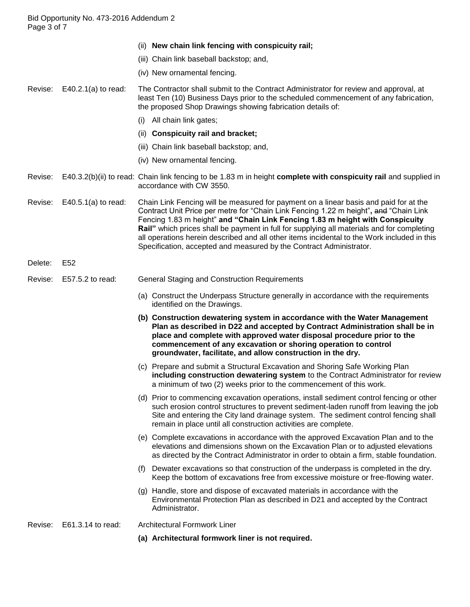- (ii) **New chain link fencing with conspicuity rail;**
- (iii) Chain link baseball backstop; and,
- (iv) New ornamental fencing.

Revise: E40.2.1(a) to read: The Contractor shall submit to the Contract Administrator for review and approval, at least Ten (10) Business Days prior to the scheduled commencement of any fabrication, the proposed Shop Drawings showing fabrication details of:

- (i) All chain link gates;
- (ii) **Conspicuity rail and bracket;**
- (iii) Chain link baseball backstop; and,
- (iv) New ornamental fencing.
- Revise: E40.3.2(b)(ii) to read: Chain link fencing to be 1.83 m in height **complete with conspicuity rail** and supplied in accordance with CW 3550.

Revise: E40.5.1(a) to read: Chain Link Fencing will be measured for payment on a linear basis and paid for at the Contract Unit Price per metre for "Chain Link Fencing 1.22 m height"**,** and "Chain Link Fencing 1.83 m height" **and "Chain Link Fencing 1.83 m height with Conspicuity Rail"** which prices shall be payment in full for supplying all materials and for completing all operations herein described and all other items incidental to the Work included in this Specification, accepted and measured by the Contract Administrator.

- Delete: E52
- Revise: E57.5.2 to read: General Staging and Construction Requirements
	- (a) Construct the Underpass Structure generally in accordance with the requirements identified on the Drawings.
	- **(b) Construction dewatering system in accordance with the Water Management Plan as described in D22 and accepted by Contract Administration shall be in place and complete with approved water disposal procedure prior to the commencement of any excavation or shoring operation to control groundwater, facilitate, and allow construction in the dry.**
	- (c) Prepare and submit a Structural Excavation and Shoring Safe Working Plan **including construction dewatering system** to the Contract Administrator for review a minimum of two (2) weeks prior to the commencement of this work.
	- (d) Prior to commencing excavation operations, install sediment control fencing or other such erosion control structures to prevent sediment-laden runoff from leaving the job Site and entering the City land drainage system. The sediment control fencing shall remain in place until all construction activities are complete.
	- (e) Complete excavations in accordance with the approved Excavation Plan and to the elevations and dimensions shown on the Excavation Plan or to adjusted elevations as directed by the Contract Administrator in order to obtain a firm, stable foundation.
	- (f) Dewater excavations so that construction of the underpass is completed in the dry. Keep the bottom of excavations free from excessive moisture or free-flowing water.
	- (g) Handle, store and dispose of excavated materials in accordance with the Environmental Protection Plan as described in D21 and accepted by the Contract Administrator.

Revise: E61.3.14 to read: Architectural Formwork Liner

**(a) Architectural formwork liner is not required.**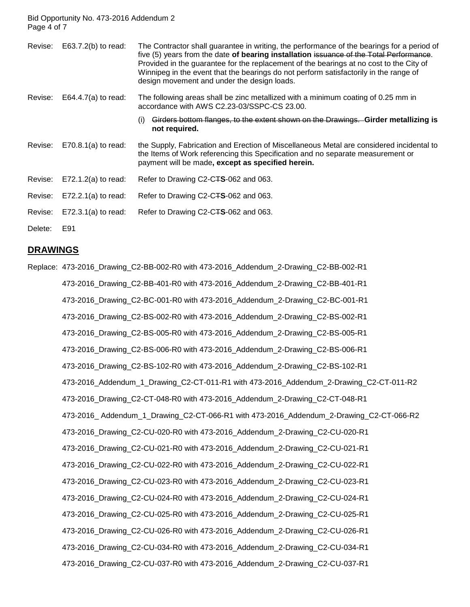Bid Opportunity No. 473-2016 Addendum 2 Page 4 of 7

| Revise: | $E63.7.2(b)$ to read: | The Contractor shall guarantee in writing, the performance of the bearings for a period of<br>five (5) years from the date of bearing installation issuance of the Total Performance.<br>Provided in the guarantee for the replacement of the bearings at no cost to the City of<br>Winnipeg in the event that the bearings do not perform satisfactorily in the range of<br>design movement and under the design loads. |
|---------|-----------------------|--------------------------------------------------------------------------------------------------------------------------------------------------------------------------------------------------------------------------------------------------------------------------------------------------------------------------------------------------------------------------------------------------------------------------|
| Revise: | E64.4.7(a) to read:   | The following areas shall be zinc metallized with a minimum coating of 0.25 mm in<br>accordance with AWS C2.23-03/SSPC-CS 23.00.                                                                                                                                                                                                                                                                                         |
|         |                       | Girders bottom flanges, to the extent shown on the Drawings. Girder metallizing is<br>(i)<br>not required.                                                                                                                                                                                                                                                                                                               |
| Revise: | $E70.8.1(a)$ to read: | the Supply, Fabrication and Erection of Miscellaneous Metal are considered incidental to<br>the Items of Work referencing this Specification and no separate measurement or<br>payment will be made, except as specified herein.                                                                                                                                                                                         |
| Revise: | $E72.1.2(a)$ to read: | Refer to Drawing C2-C <sub>T</sub> S-062 and 063.                                                                                                                                                                                                                                                                                                                                                                        |
| Revise: | $E72.2.1(a)$ to read: | Refer to Drawing C2-C <sub>T</sub> S-062 and 063.                                                                                                                                                                                                                                                                                                                                                                        |
| Revise: | $E72.3.1(a)$ to read: | Refer to Drawing C2-C <sub>T</sub> S-062 and 063.                                                                                                                                                                                                                                                                                                                                                                        |
| Delete: | E91                   |                                                                                                                                                                                                                                                                                                                                                                                                                          |

#### **DRAWINGS**

Replace: 473-2016\_Drawing\_C2-BB-002-R0 with 473-2016\_Addendum\_2-Drawing\_C2-BB-002-R1 473-2016\_Drawing\_C2-BB-401-R0 with 473-2016\_Addendum\_2-Drawing\_C2-BB-401-R1 473-2016\_Drawing\_C2-BC-001-R0 with 473-2016\_Addendum\_2-Drawing\_C2-BC-001-R1 473-2016\_Drawing\_C2-BS-002-R0 with 473-2016\_Addendum\_2-Drawing\_C2-BS-002-R1 473-2016\_Drawing\_C2-BS-005-R0 with 473-2016\_Addendum\_2-Drawing\_C2-BS-005-R1 473-2016\_Drawing\_C2-BS-006-R0 with 473-2016\_Addendum\_2-Drawing\_C2-BS-006-R1 473-2016\_Drawing\_C2-BS-102-R0 with 473-2016\_Addendum\_2-Drawing\_C2-BS-102-R1 473-2016\_Addendum\_1\_Drawing\_C2-CT-011-R1 with 473-2016\_Addendum\_2-Drawing\_C2-CT-011-R2 473-2016\_Drawing\_C2-CT-048-R0 with 473-2016\_Addendum\_2-Drawing\_C2-CT-048-R1 473-2016\_ Addendum\_1\_Drawing\_C2-CT-066-R1 with 473-2016\_Addendum\_2-Drawing\_C2-CT-066-R2 473-2016\_Drawing\_C2-CU-020-R0 with 473-2016\_Addendum\_2-Drawing\_C2-CU-020-R1 473-2016\_Drawing\_C2-CU-021-R0 with 473-2016\_Addendum\_2-Drawing\_C2-CU-021-R1 473-2016\_Drawing\_C2-CU-022-R0 with 473-2016\_Addendum\_2-Drawing\_C2-CU-022-R1 473-2016\_Drawing\_C2-CU-023-R0 with 473-2016\_Addendum\_2-Drawing\_C2-CU-023-R1 473-2016\_Drawing\_C2-CU-024-R0 with 473-2016\_Addendum\_2-Drawing\_C2-CU-024-R1 473-2016\_Drawing\_C2-CU-025-R0 with 473-2016\_Addendum\_2-Drawing\_C2-CU-025-R1 473-2016\_Drawing\_C2-CU-026-R0 with 473-2016\_Addendum\_2-Drawing\_C2-CU-026-R1 473-2016\_Drawing\_C2-CU-034-R0 with 473-2016\_Addendum\_2-Drawing\_C2-CU-034-R1 473-2016\_Drawing\_C2-CU-037-R0 with 473-2016\_Addendum\_2-Drawing\_C2-CU-037-R1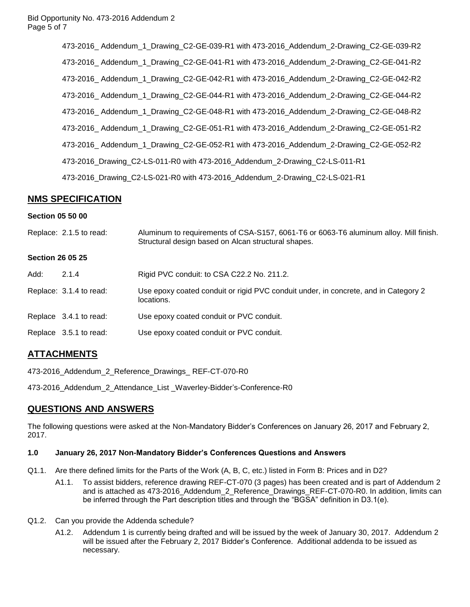473-2016\_ Addendum\_1\_Drawing\_C2-GE-039-R1 with 473-2016\_Addendum\_2-Drawing\_C2-GE-039-R2 473-2016\_ Addendum\_1\_Drawing\_C2-GE-041-R1 with 473-2016\_Addendum\_2-Drawing\_C2-GE-041-R2 473-2016\_ Addendum\_1\_Drawing\_C2-GE-042-R1 with 473-2016\_Addendum\_2-Drawing\_C2-GE-042-R2 473-2016\_ Addendum\_1\_Drawing\_C2-GE-044-R1 with 473-2016\_Addendum\_2-Drawing\_C2-GE-044-R2 473-2016\_ Addendum\_1\_Drawing\_C2-GE-048-R1 with 473-2016\_Addendum\_2-Drawing\_C2-GE-048-R2 473-2016\_ Addendum\_1\_Drawing\_C2-GE-051-R1 with 473-2016\_Addendum\_2-Drawing\_C2-GE-051-R2 473-2016\_ Addendum\_1\_Drawing\_C2-GE-052-R1 with 473-2016\_Addendum\_2-Drawing\_C2-GE-052-R2 473-2016\_Drawing\_C2-LS-011-R0 with 473-2016\_Addendum\_2-Drawing\_C2-LS-011-R1 473-2016\_Drawing\_C2-LS-021-R0 with 473-2016\_Addendum\_2-Drawing\_C2-LS-021-R1

# **NMS SPECIFICATION**

#### **Section 05 50 00**

Replace: 2.1.5 to read: Aluminum to requirements of CSA-S157, 6061-T6 or 6063-T6 aluminum alloy. Mill finish. Structural design based on Alcan structural shapes.

#### **Section 26 05 25**

| Add: | 2.1.4                   | Rigid PVC conduit: to CSA C22.2 No. 211.2.                                                        |
|------|-------------------------|---------------------------------------------------------------------------------------------------|
|      | Replace: 3.1.4 to read: | Use epoxy coated conduit or rigid PVC conduit under, in concrete, and in Category 2<br>locations. |
|      | Replace 3.4.1 to read:  | Use epoxy coated conduit or PVC conduit.                                                          |
|      | Replace 3.5.1 to read:  | Use epoxy coated conduit or PVC conduit.                                                          |

### **ATTACHMENTS**

473-2016\_Addendum\_2\_Reference\_Drawings\_ REF-CT-070-R0

473-2016\_Addendum\_2\_Attendance\_List \_Waverley-Bidder's-Conference-R0

### **QUESTIONS AND ANSWERS**

The following questions were asked at the Non-Mandatory Bidder's Conferences on January 26, 2017 and February 2, 2017.

### **1.0 January 26, 2017 Non-Mandatory Bidder's Conferences Questions and Answers**

- Q1.1. Are there defined limits for the Parts of the Work (A, B, C, etc.) listed in Form B: Prices and in D2?
	- A1.1. To assist bidders, reference drawing REF-CT-070 (3 pages) has been created and is part of Addendum 2 and is attached as 473-2016 Addendum 2 Reference Drawings REF-CT-070-R0. In addition, limits can be inferred through the Part description titles and through the "BGSA" definition in D3.1(e).
- Q1.2. Can you provide the Addenda schedule?
	- A1.2. Addendum 1 is currently being drafted and will be issued by the week of January 30, 2017. Addendum 2 will be issued after the February 2, 2017 Bidder's Conference. Additional addenda to be issued as necessary.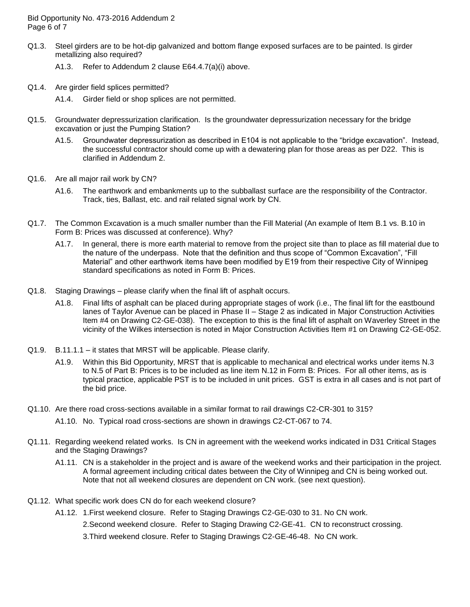Bid Opportunity No. 473-2016 Addendum 2 Page 6 of 7

- Q1.3. Steel girders are to be hot-dip galvanized and bottom flange exposed surfaces are to be painted. Is girder metallizing also required?
	- A1.3. Refer to Addendum 2 clause E64.4.7(a)(i) above.
- Q1.4. Are girder field splices permitted?
	- A1.4. Girder field or shop splices are not permitted.
- Q1.5. Groundwater depressurization clarification. Is the groundwater depressurization necessary for the bridge excavation or just the Pumping Station?
	- A1.5. Groundwater depressurization as described in E104 is not applicable to the "bridge excavation". Instead, the successful contractor should come up with a dewatering plan for those areas as per D22. This is clarified in Addendum 2.
- Q1.6. Are all major rail work by CN?
	- A1.6. The earthwork and embankments up to the subballast surface are the responsibility of the Contractor. Track, ties, Ballast, etc. and rail related signal work by CN.
- Q1.7. The Common Excavation is a much smaller number than the Fill Material (An example of Item B.1 vs. B.10 in Form B: Prices was discussed at conference). Why?
	- A1.7. In general, there is more earth material to remove from the project site than to place as fill material due to the nature of the underpass. Note that the definition and thus scope of "Common Excavation", "Fill Material" and other earthwork items have been modified by E19 from their respective City of Winnipeg standard specifications as noted in Form B: Prices.
- Q1.8. Staging Drawings please clarify when the final lift of asphalt occurs.
	- A1.8. Final lifts of asphalt can be placed during appropriate stages of work (i.e., The final lift for the eastbound lanes of Taylor Avenue can be placed in Phase II – Stage 2 as indicated in Major Construction Activities Item #4 on Drawing C2-GE-038). The exception to this is the final lift of asphalt on Waverley Street in the vicinity of the Wilkes intersection is noted in Major Construction Activities Item #1 on Drawing C2-GE-052.
- Q1.9. B.11.1.1 it states that MRST will be applicable. Please clarify.
	- A1.9. Within this Bid Opportunity, MRST that is applicable to mechanical and electrical works under items N.3 to N.5 of Part B: Prices is to be included as line item N.12 in Form B: Prices. For all other items, as is typical practice, applicable PST is to be included in unit prices. GST is extra in all cases and is not part of the bid price.
- Q1.10. Are there road cross-sections available in a similar format to rail drawings C2-CR-301 to 315?
	- A1.10. No. Typical road cross-sections are shown in drawings C2-CT-067 to 74.
- Q1.11. Regarding weekend related works. Is CN in agreement with the weekend works indicated in D31 Critical Stages and the Staging Drawings?
	- A1.11. CN is a stakeholder in the project and is aware of the weekend works and their participation in the project. A formal agreement including critical dates between the City of Winnipeg and CN is being worked out. Note that not all weekend closures are dependent on CN work. (see next question).
- Q1.12. What specific work does CN do for each weekend closure?
	- A1.12. 1.First weekend closure. Refer to Staging Drawings C2-GE-030 to 31. No CN work.

2.Second weekend closure. Refer to Staging Drawing C2-GE-41. CN to reconstruct crossing.

3.Third weekend closure. Refer to Staging Drawings C2-GE-46-48. No CN work.